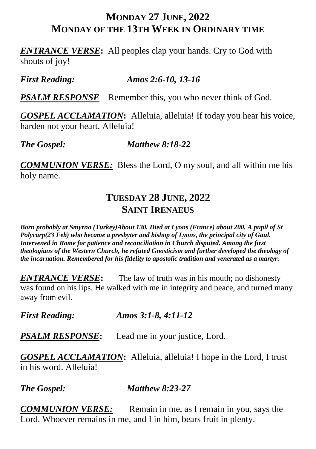#### **MONDAY 27 JUNE, 2022 MONDAY OF THE 13TH WEEK IN ORDINARY TIME**

*ENTRANCE VERSE***:** All peoples clap your hands. Cry to God with shouts of joy!

*First Reading: Amos 2:6-10, 13-16*

*PSALM RESPONSE* Remember this, you who never think of God.

*GOSPEL ACCLAMATION***:** Alleluia, alleluia! If today you hear his voice, harden not your heart. Alleluia!

*The Gospel: Matthew 8:18-22*

*COMMUNION VERSE:*Bless the Lord, O my soul, and all within me his holy name.

## **TUESDAY 28 JUNE, 2022 SAINT IRENAEUS**

*Born probably at Smyrna (Turkey)About 130. Died at Lyons (France) about 200. A pupil of St Polycarp(23 Feb) who became a presbyter and bishop of Lyons, the principal city of Gaul. Intervened in Rome for patience and reconciliation in Church disputed. Among the first theologians of the Western Church, he refuted Gnosticism and further developed the theology of the incarnation. Remembered for his fidelity to apostolic tradition and venerated as a martyr.*

**ENTRANCE VERSE:** The law of truth was in his mouth; no dishonesty was found on his lips. He walked with me in integrity and peace, and turned many away from evil.

*First Reading: Amos 3:1-8, 4:11-12*

*PSALM RESPONSE***:** Lead me in your justice, Lord.

*GOSPEL ACCLAMATION***:** Alleluia, alleluia! I hope in the Lord, I trust in his word. Alleluia!

*The Gospel: Matthew 8:23-27*

*COMMUNION VERSE:* Remain in me, as I remain in you, says the Lord. Whoever remains in me, and I in him, bears fruit in plenty.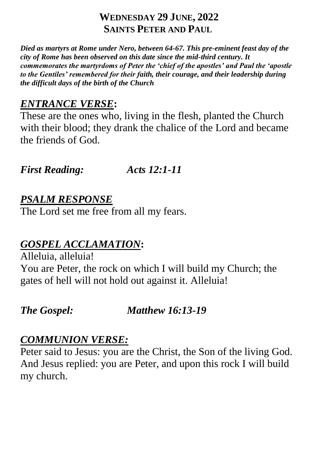## **WEDNESDAY 29 JUNE, 2022 SAINTS PETER AND PAUL**

*Died as martyrs at Rome under Nero, between 64-67. This pre-eminent feast day of the city of Rome has been observed on this date since the mid-third century. It commemorates the martyrdoms of Peter the 'chief of the apostles' and Paul the 'apostle to the Gentiles' remembered for their faith, their courage, and their leadership during the difficult days of the birth of the Church*

# *ENTRANCE VERSE***:**

These are the ones who, living in the flesh, planted the Church with their blood; they drank the chalice of the Lord and became the friends of God.

*First Reading: Acts 12:1-11*

# *PSALM RESPONSE*

The Lord set me free from all my fears.

# *GOSPEL ACCLAMATION***:**

Alleluia, alleluia! You are Peter, the rock on which I will build my Church; the gates of hell will not hold out against it. Alleluia!

*The Gospel: Matthew 16:13-19*

# *COMMUNION VERSE:*

Peter said to Jesus: you are the Christ, the Son of the living God. And Jesus replied: you are Peter, and upon this rock I will build my church.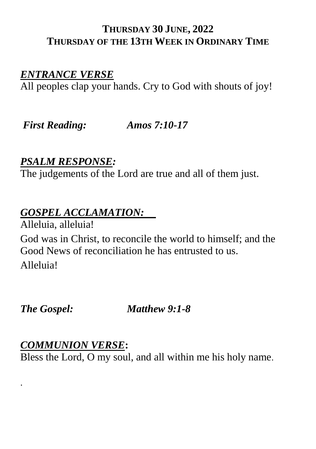#### **THURSDAY 30 JUNE, 2022 THURSDAY OF THE 13TH WEEK IN ORDINARY TIME**

#### *ENTRANCE VERSE*

All peoples clap your hands. Cry to God with shouts of joy!

*First Reading: Amos 7:10-17*

## *PSALM RESPONSE:*

The judgements of the Lord are true and all of them just.

#### *GOSPEL ACCLAMATION:*

Alleluia, alleluia! God was in Christ, to reconcile the world to himself; and the Good News of reconciliation he has entrusted to us. Alleluia!

*The Gospel: Matthew 9:1-8*

#### *COMMUNION VERSE***:**

.

Bless the Lord, O my soul, and all within me his holy name.